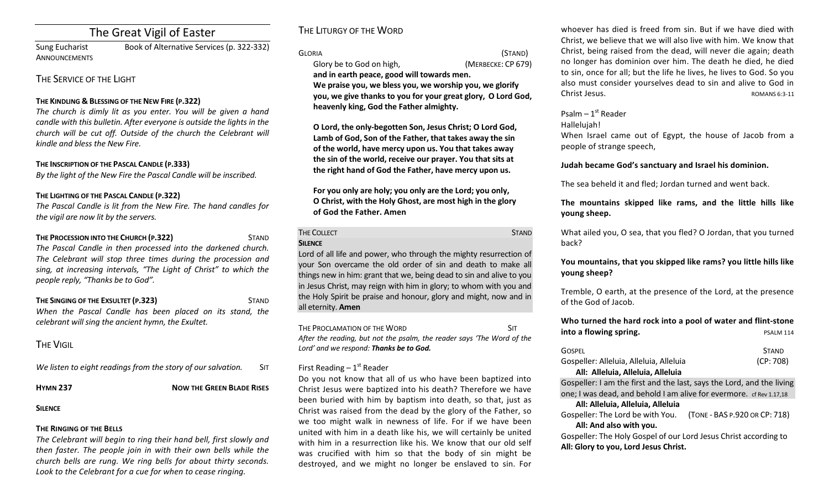# The Great Vigil of Easter

Sung Eucharist Book of Alternative Services (p. 322-332) **ANNOUNCEMENTS** 

## THE SERVICE OF THE LIGHT

### **THE KINDLING & BLESSING OF THE NEW FIRE (P.322)**

*The church is dimly lit as you enter. You will be aiven a hand candle with this bulletin. After everyone is outside the lights in the church* will be cut off. Outside of the church the Celebrant will *kindle and bless the New Fire.*

### **THE INSCRIPTION OF THE PASCAL CANDLE (P.333)**

By the light of the New Fire the Pascal Candle will be inscribed.

### THE LIGHTING OF THE PASCAL CANDLE (P.322)

The Pascal Candle is lit from the New Fire. The hand candles for *the vigil are now lit by the servers.* 

### **THE PROCESSION INTO THE CHURCH (P.322)** STAND The Pascal Candle in then processed into the darkened church. The Celebrant will stop three times during the procession and sing, at increasing intervals, "The Light of Christ" to which the *people reply, "Thanks be to God".*

**THE SINGING OF THE EXSULTET (P.323)** STAND When the Pascal Candle has been placed on its stand, the *celebrant will sing the ancient hymn, the Exultet.*

# **THE VIGIL**

*We listen to eight readings from the story of our salvation.* SIT

#### **HYMN 237 NOW THE GREEN BLADE RISES**

#### **SILENCE**

### **THE RINGING OF THE BELLS**

The Celebrant will begin to ring their hand bell, first slowly and then faster. The people join in with their own bells while the *church bells are rung. We ring bells for about thirty seconds.*  Look to the Celebrant for a cue for when to cease ringing.

# THE LITURGY OF THE WORD

GLORIA (STAND) Glory be to God on high, *(MERBECKE: CP 679)* 

and in earth peace, good will towards men. We praise you, we bless you, we worship you, we glorify **you, we give thanks to you for your great glory, O Lord God,** heavenly king, God the Father almighty.

**O** Lord, the only-begotten Son, Jesus Christ; O Lord God, Lamb of God, Son of the Father, that takes away the sin of the world, have mercy upon us. You that takes away the sin of the world, receive our prayer. You that sits at the right hand of God the Father, have mercy upon us.

For you only are holy; you only are the Lord; you only, **O** Christ, with the Holy Ghost, are most high in the glory **of God the Father. Amen** 

# THE COLLECT **STAND SILENCE**

Lord of all life and power, who through the mighty resurrection of your Son overcame the old order of sin and death to make all things new in him: grant that we, being dead to sin and alive to you in Jesus Christ, may reign with him in glory; to whom with you and the Holy Spirit be praise and honour, glory and might, now and in all eternity. **Amen** 

THE PROCLAMATION OF THE WORD **SIT SIT** After the reading, but not the psalm, the reader says 'The Word of the Lord' and we respond: **Thanks be to God.** 

### First Reading  $-1<sup>st</sup>$  Reader

Do you not know that all of us who have been baptized into Christ Jesus were baptized into his death? Therefore we have been buried with him by baptism into death, so that, just as Christ was raised from the dead by the glory of the Father, so we too might walk in newness of life. For if we have been united with him in a death like his, we will certainly be united with him in a resurrection like his. We know that our old self was crucified with him so that the body of sin might be destroyed, and we might no longer be enslaved to sin. For whoever has died is freed from sin. But if we have died with Christ, we believe that we will also live with him. We know that Christ, being raised from the dead, will never die again; death no longer has dominion over him. The death he died, he died to sin, once for all; but the life he lives, he lives to God. So you also must consider yourselves dead to sin and alive to God in Christ Jesus. **And Christ** Jesus. **ROMANS 6:3-11** 

### Psalm  $-1<sup>st</sup>$  Reader

Hallelujah! 

When Israel came out of Egypt, the house of Jacob from a people of strange speech,

### **Judah became God's sanctuary and Israel his dominion.**

The sea beheld it and fled: Jordan turned and went back.

### **The mountains skipped like rams, and the little hills like young** sheep.

What ailed you, O sea, that you fled? O Jordan, that you turned back? 

You mountains, that you skipped like rams? you little hills like **young sheep?** 

Tremble, O earth, at the presence of the Lord, at the presence of the God of Jacob.

### **Who turned the hard rock into a pool of water and flint-stone into a flowing spring.** PSALM 114

| <b>GOSPEL</b>                           | <b>STAND</b> |
|-----------------------------------------|--------------|
| Gospeller: Alleluia, Alleluia, Alleluia | (CP:708)     |
| All: Alleluia, Alleluia, Alleluia       |              |

Gospeller: I am the first and the last, says the Lord, and the living one; I was dead, and behold I am alive for evermore. cf Rev 1.17.18

### **All: Alleluia, Alleluia, Alleluia**

Gospeller: The Lord be with You. (TONE - BAS P.920 OR CP: 718) All: And also with you.

Gospeller: The Holy Gospel of our Lord Jesus Christ according to All: Glory to you, Lord Jesus Christ.